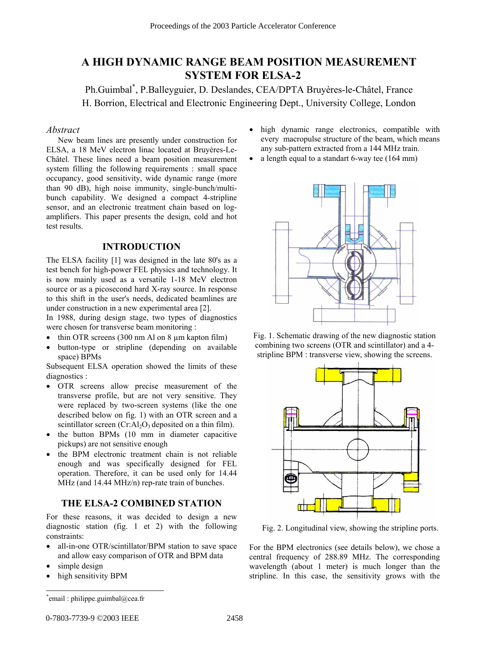# **A HIGH DYNAMIC RANGE BEAM POSITION MEASUREMENT SYSTEM FOR ELSA-2**

Ph.Guimbal<sup>\*</sup>, P.Balleyguier, D. Deslandes, CEA/DPTA Bruyères-le-Châtel, France H. Borrion, Electrical and Electronic Engineering Dept., University College, London

# *Abstract*

New beam lines are presently under construction for ELSA, a 18 MeV electron linac located at Bruyères-Le-Châtel. These lines need a beam position measurement system filling the following requirements : small space occupancy, good sensitivity, wide dynamic range (more than 90 dB), high noise immunity, single-bunch/multibunch capability. We designed a compact 4-stripline sensor, and an electronic treatment chain based on logamplifiers. This paper presents the design, cold and hot test results.

### **INTRODUCTION**

The ELSA facility [1] was designed in the late 80's as a test bench for high-power FEL physics and technology. It is now mainly used as a versatile 1-18 MeV electron source or as a picosecond hard X-ray source. In response to this shift in the user's needs, dedicated beamlines are under construction in a new experimental area [2].

In 1988, during design stage, two types of diagnostics were chosen for transverse beam monitoring :

- thin OTR screens (300 nm Al on 8 µm kapton film)
- button-type or stripline (depending on available space) BPMs

Subsequent ELSA operation showed the limits of these diagnostics :

- OTR screens allow precise measurement of the transverse profile, but are not very sensitive. They were replaced by two-screen systems (like the one described below on fig. 1) with an OTR screen and a scintillator screen  $(Cr:Al<sub>2</sub>O<sub>3</sub>$  deposited on a thin film).
- the button BPMs (10 mm in diameter capacitive pickups) are not sensitive enough
- the BPM electronic treatment chain is not reliable enough and was specifically designed for FEL operation. Therefore, it can be used only for 14.44 MHz (and 14.44 MHz/n) rep-rate train of bunches.

# **THE ELSA-2 COMBINED STATION**

For these reasons, it was decided to design a new diagnostic station (fig. 1 et 2) with the following constraints:

- all-in-one OTR/scintillator/BPM station to save space and allow easy comparison of OTR and BPM data
- simple design

 $\overline{\phantom{a}}$ 

high sensitivity BPM

- high dynamic range electronics, compatible with every macropulse structure of the beam, which means any sub-pattern extracted from a 144 MHz train.
- a length equal to a standart 6-way tee (164 mm)



Fig. 1. Schematic drawing of the new diagnostic station combining two screens (OTR and scintillator) and a 4 stripline BPM : transverse view, showing the screens.



Fig. 2. Longitudinal view, showing the stripline ports.

For the BPM electronics (see details below), we chose a central frequency of 288.89 MHz. The corresponding wavelength (about 1 meter) is much longer than the stripline. In this case, the sensitivity grows with the

<sup>\*</sup> email : philippe.guimbal@cea.fr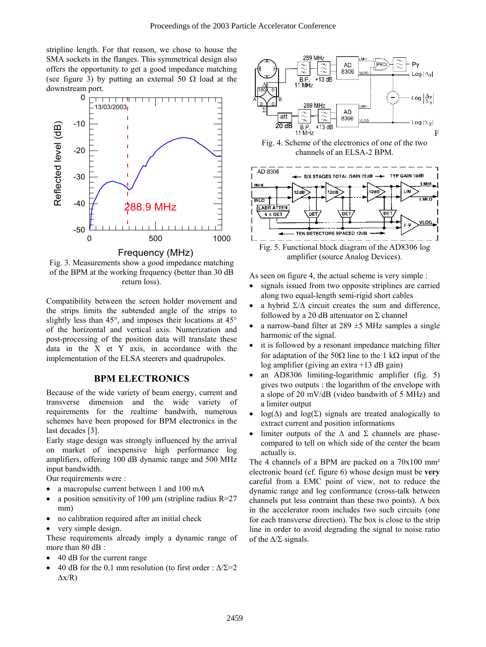stripline length. For that reason, we chose to house the SMA sockets in the flanges. This symmetrical design also offers the opportunity to get a good impedance matching (see figure 3) by putting an external 50  $\Omega$  load at the downstream port.



Fig. 3. Measurements show a good impedance matching of the BPM at the working frequency (better than 30 dB return loss).

Compatibility between the screen holder movement and the strips limits the subtended angle of the strips to slightly less than 45°, and imposes their locations at 45° of the horizontal and vertical axis. Numerization and post-processing of the position data will translate these data in the X et Y axis, in accordance with the implementation of the ELSA steerers and quadrupoles.

# **BPM ELECTRONICS**

Because of the wide variety of beam energy, current and transverse dimension and the wide variety of requirements for the realtime bandwith, numerous schemes have been proposed for BPM electronics in the last decades [3].

Early stage design was strongly influenced by the arrival on market of inexpensive high performance log amplifiers, offering 100 dB dynamic range and 500 MHz input bandwidth.

Our requirements were :

- a macropulse current between 1 and 100 mA
- a position sensitivity of 100  $\mu$ m (stripline radius R=27) mm)
- no calibration required after an initial check
- very simple design.

These requirements already imply a dynamic range of more than 80 dB :

- 40 dB for the current range
- 40 dB for the 0.1 mm resolution (to first order :  $\Delta/\Sigma$ =2  $\Delta x/R$ )



Fig. 4. Scheme of the electronics of one of the two channels of an ELSA-2 BPM.



amplifier (source Analog Devices).

As seen on figure 4, the actual scheme is very simple :

- signals issued from two opposite striplines are carried along two equal-length semi-rigid short cables
- a hybrid  $\Sigma/\Delta$  circuit creates the sum and difference, followed by a 20 dB attenuator on  $\Sigma$  channel
- a narrow-band filter at  $289 \pm 5$  MHz samples a single harmonic of the signal.
- it is followed by a resonant impedance matching filter for adaptation of the 50 $\Omega$  line to the 1 k $\Omega$  input of the log amplifier (giving an extra +13 dB gain)
- an AD8306 limiting-logarithmic amplifier (fig. 5) gives two outputs : the logarithm of the envelope with a slope of 20 mV/dB (video bandwith of 5 MHz) and a limiter output
- log( $\Delta$ ) and log( $\Sigma$ ) signals are treated analogically to extract current and position informations
- limiter outputs of the  $\Delta$  and  $\Sigma$  channels are phasecompared to tell on which side of the center the beam actually is.

The 4 channels of a BPM are packed on a 70x100 mm² electronic board (cf. figure 6) whose design must be **very** careful from a EMC point of view, not to reduce the dynamic range and log conformance (cross-talk between channels put less contraint than these two points). A box in the accelerator room includes two such circuits (one for each transverse direction). The box is close to the strip line in order to avoid degrading the signal to noise ratio of the  $\Delta/\Sigma$  signals.